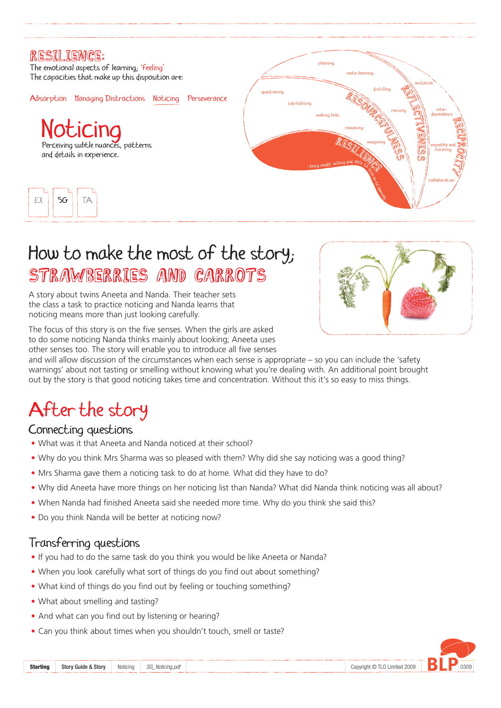

# How to make the most of the story; STRAWBERRIES AND CARROTS





A story about twins Aneeta and Nanda. Their teacher sets the class a task to practice noticing and Nanda learns that noticing means more than just looking carefully.

The focus of this story is on the five senses. When the girls are asked to do some noticing Nanda thinks mainly about looking; Aneeta uses other senses too. The story will enable you to introduce all five senses

and will allow discussion of the circumstances when each sense is appropriate – so you can include the 'safety warnings' about not tasting or smelling without knowing what you're dealing with. An additional point brought out by the story is that good noticing takes time and concentration. Without this it's so easy to miss things.

# After the story

#### Connecting questions

- What was it that Aneeta and Nanda noticed at their school?
- Why do you think Mrs Sharma was so pleased with them? Why did she say noticing was a good thing?
- Mrs Sharma gave them a noticing task to do at home. What did they have to do?
- Why did Aneeta have more things on her noticing list than Nanda? What did Nanda think noticing was all about?
- When Nanda had finished Aneeta said she needed more time. Why do you think she said this?
- Do you think Nanda will be better at noticing now?



#### Transferring questions

- If you had to do the same task do you think you would be like Aneeta or Nanda?
- When you look carefully what sort of things do you find out about something?
- What kind of things do you find out by feeling or touching something?
- What about smelling and tasting?
- And what can you find out by listening or hearing?
- Can you think about times when you shouldn't touch, smell or taste?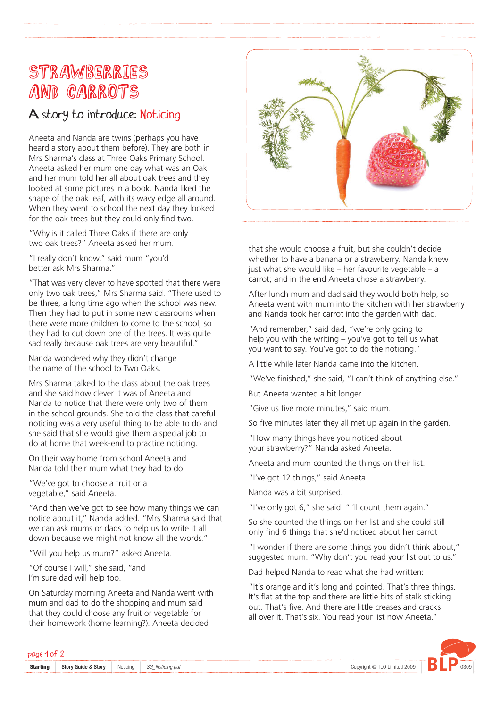## STRAWBERRIES and Carrots

### A story to introduce: Noticing

Aneeta and Nanda are twins (perhaps you have heard a story about them before). They are both in Mrs Sharma's class at Three Oaks Primary School. Aneeta asked her mum one day what was an Oak and her mum told her all about oak trees and they looked at some pictures in a book. Nanda liked the shape of the oak leaf, with its wavy edge all around. When they went to school the next day they looked for the oak trees but they could only find two.

"Why is it called Three Oaks if there are only two oak trees?" Aneeta asked her mum.

"I really don't know," said mum "you'd better ask Mrs Sharma."

"That was very clever to have spotted that there were only two oak trees," Mrs Sharma said. "There used to be three, a long time ago when the school was new. Then they had to put in some new classrooms when there were more children to come to the school, so they had to cut down one of the trees. It was quite sad really because oak trees are very beautiful."

Nanda wondered why they didn't change the name of the school to Two Oaks.

Mrs Sharma talked to the class about the oak trees and she said how clever it was of Aneeta and Nanda to notice that there were only two of them in the school grounds. She told the class that careful noticing was a very useful thing to be able to do and she said that she would give them a special job to do at home that week-end to practice noticing.

On their way home from school Aneeta and Nanda told their mum what they had to do.

"We've got to choose a fruit or a vegetable," said Aneeta.

"And then we've got to see how many things we can notice about it," Nanda added. "Mrs Sharma said that we can ask mums or dads to help us to write it all down because we might not know all the words."





"Will you help us mum?" asked Aneeta.

"Of course I will," she said, "and I'm sure dad will help too.

On Saturday morning Aneeta and Nanda went with mum and dad to do the shopping and mum said that they could choose any fruit or vegetable for their homework (home learning?). Aneeta decided

that she would choose a fruit, but she couldn't decide whether to have a banana or a strawberry. Nanda knew just what she would like  $-$  her favourite vegetable  $-$  a carrot; and in the end Aneeta chose a strawberry.

After lunch mum and dad said they would both help, so Aneeta went with mum into the kitchen with her strawberry and Nanda took her carrot into the garden with dad.

"And remember," said dad, "we're only going to help you with the writing – you've got to tell us what you want to say. You've got to do the noticing."

A little while later Nanda came into the kitchen.

"We've finished," she said, "I can't think of anything else."

But Aneeta wanted a bit longer.

"Give us five more minutes," said mum.

So five minutes later they all met up again in the garden.

"How many things have you noticed about your strawberry?" Nanda asked Aneeta.

Aneeta and mum counted the things on their list.

"I've got 12 things," said Aneeta.

Nanda was a bit surprised.

"I've only got 6," she said. "I'll count them again."

So she counted the things on her list and she could still only find 6 things that she'd noticed about her carrot

"I wonder if there are some things you didn't think about," suggested mum. "Why don't you read your list out to us."

Dad helped Nanda to read what she had written:

"It's orange and it's long and pointed. That's three things. It's flat at the top and there are little bits of stalk sticking out. That's five. And there are little creases and cracks all over it. That's six. You read your list now Aneeta."